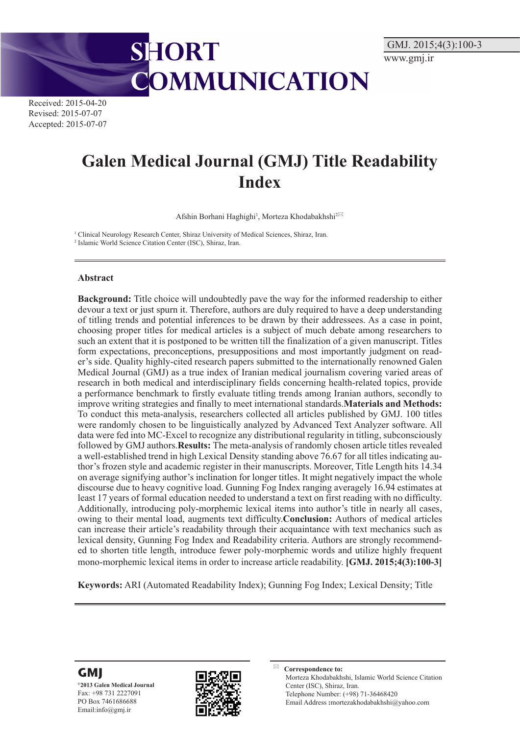Received: 2015-04-20 Revised: 2015-07-07 Accepted: 2015-07-07

# **Galen Medical Journal (GMJ) Title Readability Index**

OMMUNICATION

Afshin Borhani Haghighi<sup>1</sup>, Morteza Khodabakhshi<sup>2⊠</sup>

<sup>1</sup> Clinical Neurology Research Center, Shiraz University of Medical Sciences, Shiraz, Iran.

2 Islamic World Science Citation Center (ISC), Shiraz, Iran.

**SHORT** 

#### **Abstract**

**Background:** Title choice will undoubtedly pave the way for the informed readership to either devour a text or just spurn it. Therefore, authors are duly required to have a deep understanding of titling trends and potential inferences to be drawn by their addressees. As a case in point, choosing proper titles for medical articles is a subject of much debate among researchers to such an extent that it is postponed to be written till the finalization of a given manuscript. Titles form expectations, preconceptions, presuppositions and most importantly judgment on reader's side. Quality highly-cited research papers submitted to the internationally renowned Galen Medical Journal (GMJ) as a true index of Iranian medical journalism covering varied areas of research in both medical and interdisciplinary fields concerning health-related topics, provide a performance benchmark to firstly evaluate titling trends among Iranian authors, secondly to improve writing strategies and finally to meet international standards.**Materials and Methods:** To conduct this meta-analysis, researchers collected all articles published by GMJ. 100 titles were randomly chosen to be linguistically analyzed by Advanced Text Analyzer software. All data were fed into MC-Excel to recognize any distributional regularity in titling, subconsciously followed by GMJ authors.**Results:** The meta-analysis of randomly chosen article titles revealed a well-established trend in high Lexical Density standing above 76.67 for all titles indicating author's frozen style and academic register in their manuscripts. Moreover, Title Length hits 14.34 on average signifying author's inclination for longer titles. It might negatively impact the whole discourse due to heavy cognitive load. Gunning Fog Index ranging averagely 16.94 estimates at least 17 years of formal education needed to understand a text on first reading with no difficulty. Additionally, introducing poly-morphemic lexical items into author's title in nearly all cases, owing to their mental load, augments text difficulty.**Conclusion:** Authors of medical articles can increase their article's readability through their acquaintance with text mechanics such as lexical density, Gunning Fog Index and Readability criteria. Authors are strongly recommended to shorten title length, introduce fewer poly-morphemic words and utilize highly frequent mono-morphemic lexical items in order to increase article readability. **[GMJ. 2015;4(3):100-3]**

**Keywords:** ARI (Automated Readability Index); Gunning Fog Index; Lexical Density; Title





 **Correspondence to:** Morteza Khodabakhshi, Islamic World Science Citation Center (ISC), Shiraz, Iran. Telephone Number: (+98) 71-36468420 Email Address **:**mortezakhodabakhshi@yahoo.com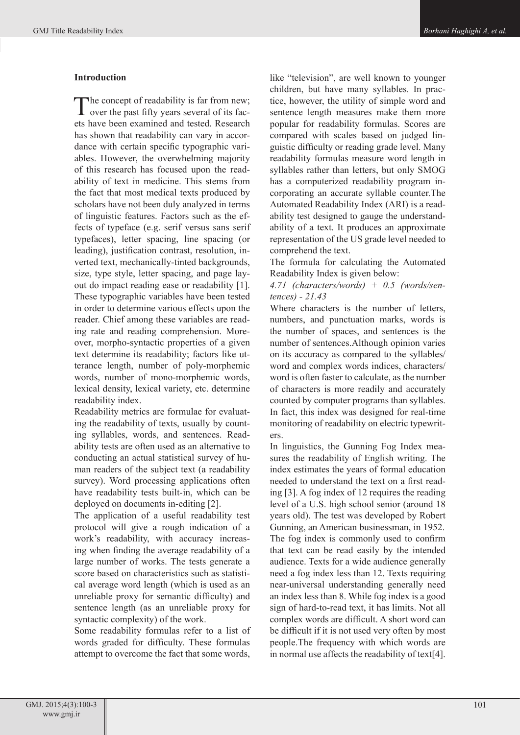# **Introduction**

The concept of readability is far from new;<br>over the past fifty years several of its facets have been examined and tested. Research has shown that readability can vary in accordance with certain specific typographic variables. However, the overwhelming majority of this research has focused upon the readability of text in medicine. This stems from the fact that most medical texts produced by scholars have not been duly analyzed in terms of linguistic features. Factors such as the effects of typeface (e.g. serif versus sans serif typefaces), letter spacing, line spacing (or leading), justification contrast, resolution, inverted text, mechanically-tinted backgrounds, size, type style, letter spacing, and page layout do impact reading ease or readability [1]. These typographic variables have been tested in order to determine various effects upon the reader. Chief among these variables are reading rate and reading comprehension. Moreover, morpho-syntactic properties of a given text determine its readability; factors like utterance length, number of poly-morphemic words, number of mono-morphemic words, lexical density, lexical variety, etc. determine readability index.

Readability metrics are formulae for evaluating the readability of texts, usually by counting syllables, words, and sentences. Readability tests are often used as an alternative to conducting an actual statistical survey of human readers of the subject text (a readability survey). Word processing applications often have readability tests built-in, which can be deployed on documents in-editing [2].

The application of a useful readability test protocol will give a rough indication of a work's readability, with accuracy increasing when finding the average readability of a large number of works. The tests generate a score based on characteristics such as statistical average word length (which is used as an unreliable proxy for semantic difficulty) and sentence length (as an unreliable proxy for syntactic complexity) of the work.

Some readability formulas refer to a list of words graded for difficulty. These formulas attempt to overcome the fact that some words,

like "television", are well known to younger children, but have many syllables. In practice, however, the utility of simple word and sentence length measures make them more popular for readability formulas. Scores are compared with scales based on judged linguistic difficulty or reading grade level. Many readability formulas measure word length in syllables rather than letters, but only SMOG has a computerized readability program incorporating an accurate syllable counter.The Automated Readability Index (ARI) is a readability test designed to gauge the understandability of a text. It produces an approximate representation of the US grade level needed to comprehend the text.

The formula for calculating the Automated Readability Index is given below:

*4.71 (characters/words) + 0.5 (words/sentences) - 21.43*

Where characters is the number of letters, numbers, and punctuation marks, words is the number of spaces, and sentences is the number of sentences.Although opinion varies on its accuracy as compared to the syllables/ word and complex words indices, characters/ word is often faster to calculate, as the number of characters is more readily and accurately counted by computer programs than syllables. In fact, this index was designed for real-time monitoring of readability on electric typewriters.

In linguistics, the Gunning Fog Index measures the readability of English writing. The index estimates the years of formal education needed to understand the text on a first reading [3]. A fog index of 12 requires the reading level of a U.S. high school senior (around 18 years old). The test was developed by Robert Gunning, an American businessman, in 1952. The fog index is commonly used to confirm that text can be read easily by the intended audience. Texts for a wide audience generally need a fog index less than 12. Texts requiring near-universal understanding generally need an index less than 8. While fog index is a good sign of hard-to-read text, it has limits. Not all complex words are difficult. A short word can be difficult if it is not used very often by most people.The frequency with which words are in normal use affects the readability of text[4].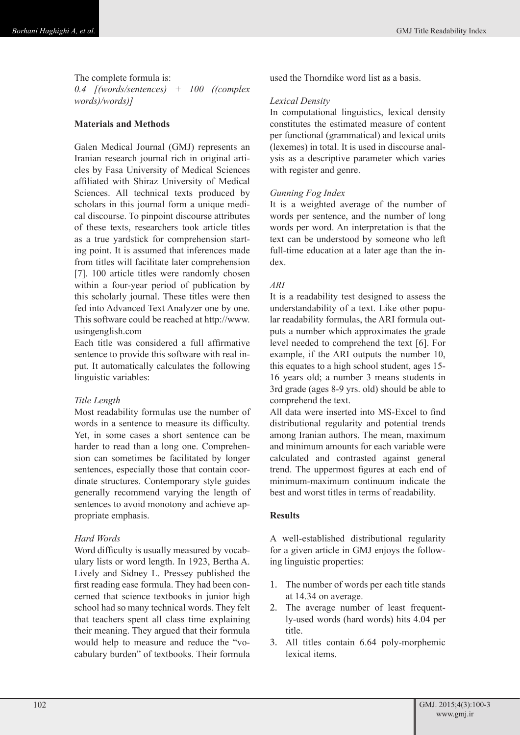The complete formula is: *0.4 [(words/sentences) + 100 ((complex words)/words)]*

# **Materials and Methods**

Galen Medical Journal (GMJ) represents an Iranian research journal rich in original articles by Fasa University of Medical Sciences affiliated with Shiraz University of Medical Sciences. All technical texts produced by scholars in this journal form a unique medical discourse. To pinpoint discourse attributes of these texts, researchers took article titles as a true yardstick for comprehension starting point. It is assumed that inferences made from titles will facilitate later comprehension [7]. 100 article titles were randomly chosen within a four-year period of publication by this scholarly journal. These titles were then fed into Advanced Text Analyzer one by one. This software could be reached at http://www. usingenglish.com

Each title was considered a full affirmative sentence to provide this software with real input. It automatically calculates the following linguistic variables:

# *Title Length*

Most readability formulas use the number of words in a sentence to measure its difficulty. Yet, in some cases a short sentence can be harder to read than a long one. Comprehension can sometimes be facilitated by longer sentences, especially those that contain coordinate structures. Contemporary style guides generally recommend varying the length of sentences to avoid monotony and achieve appropriate emphasis.

# *Hard Words*

Word difficulty is usually measured by vocabulary lists or word length. In 1923, Bertha A. Lively and Sidney L. Pressey published the first reading ease formula. They had been concerned that science textbooks in junior high school had so many technical words. They felt that teachers spent all class time explaining their meaning. They argued that their formula would help to measure and reduce the "vocabulary burden" of textbooks. Their formula

used the Thorndike word list as a basis.

# *Lexical Density*

In computational linguistics, lexical density constitutes the estimated measure of content per functional (grammatical) and lexical units (lexemes) in total. It is used in discourse analysis as a descriptive parameter which varies with register and genre.

# *Gunning Fog Index*

It is a weighted average of the number of words per sentence, and the number of long words per word. An interpretation is that the text can be understood by someone who left full-time education at a later age than the index.

### *ARI*

It is a readability test designed to assess the understandability of a text. Like other popular readability formulas, the ARI formula outputs a number which approximates the grade level needed to comprehend the text [6]. For example, if the ARI outputs the number 10, this equates to a high school student, ages 15- 16 years old; a number 3 means students in 3rd grade (ages 8-9 yrs. old) should be able to comprehend the text.

All data were inserted into MS-Excel to find distributional regularity and potential trends among Iranian authors. The mean, maximum and minimum amounts for each variable were calculated and contrasted against general trend. The uppermost figures at each end of minimum-maximum continuum indicate the best and worst titles in terms of readability.

# **Results**

A well-established distributional regularity for a given article in GMJ enjoys the following linguistic properties:

- 1. The number of words per each title stands at 14.34 on average.
- 2. The average number of least frequently-used words (hard words) hits 4.04 per title.
- 3. All titles contain 6.64 poly-morphemic lexical items.